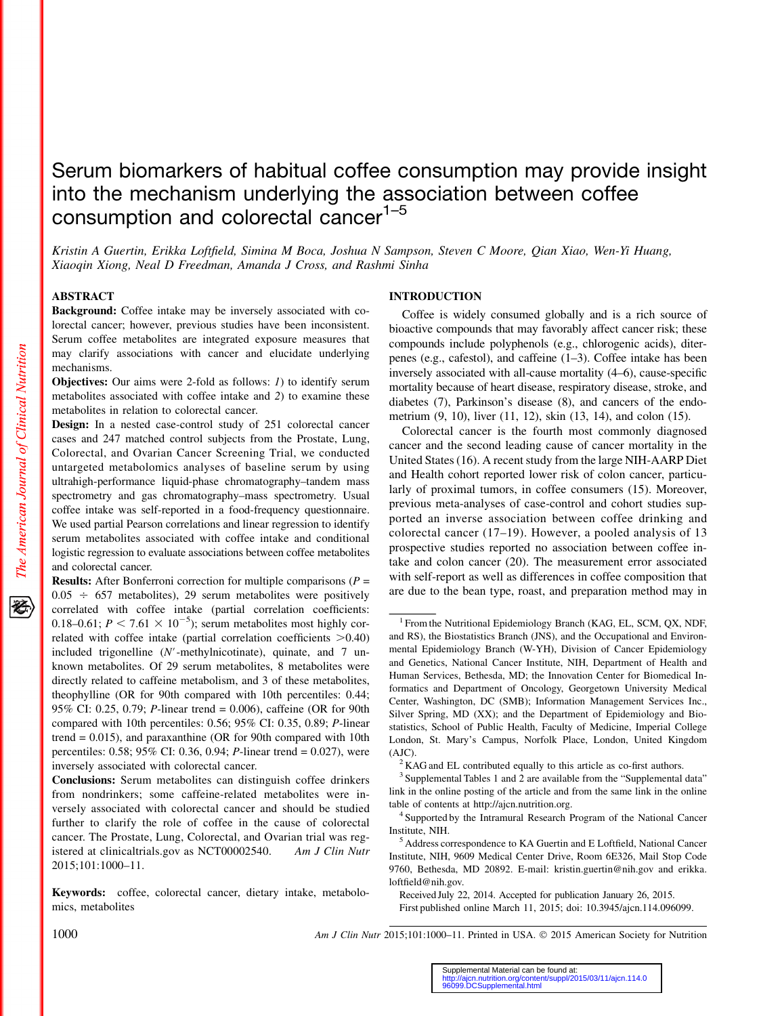# Serum biomarkers of habitual coffee consumption may provide insight into the mechanism underlying the association between coffee consumption and colorectal cancer<sup>1-5</sup>

Kristin A Guertin, Erikka Loftfield, Simina M Boca, Joshua N Sampson, Steven C Moore, Qian Xiao, Wen-Yi Huang, Xiaoqin Xiong, Neal D Freedman, Amanda J Cross, and Rashmi Sinha

#### ABSTRACT

Background: Coffee intake may be inversely associated with colorectal cancer; however, previous studies have been inconsistent. Serum coffee metabolites are integrated exposure measures that may clarify associations with cancer and elucidate underlying mechanisms.

**Objectives:** Our aims were 2-fold as follows: *1*) to identify serum metabolites associated with coffee intake and 2) to examine these metabolites in relation to colorectal cancer.

Design: In a nested case-control study of 251 colorectal cancer cases and 247 matched control subjects from the Prostate, Lung, Colorectal, and Ovarian Cancer Screening Trial, we conducted untargeted metabolomics analyses of baseline serum by using ultrahigh-performance liquid-phase chromatography–tandem mass spectrometry and gas chromatography–mass spectrometry. Usual coffee intake was self-reported in a food-frequency questionnaire. We used partial Pearson correlations and linear regression to identify serum metabolites associated with coffee intake and conditional logistic regression to evaluate associations between coffee metabolites and colorectal cancer.

**Results:** After Bonferroni correction for multiple comparisons ( $P =$  $0.05 \div 657$  metabolites), 29 serum metabolites were positively correlated with coffee intake (partial correlation coefficients: 0.18–0.61;  $P < 7.61 \times 10^{-5}$ ); serum metabolites most highly correlated with coffee intake (partial correlation coefficients  $>0.40$ ) included trigonelline  $(N'$ -methylnicotinate), quinate, and 7 unknown metabolites. Of 29 serum metabolites, 8 metabolites were directly related to caffeine metabolism, and 3 of these metabolites, theophylline (OR for 90th compared with 10th percentiles: 0.44; 95% CI: 0.25, 0.79; P-linear trend = 0.006), caffeine (OR for 90th compared with 10th percentiles: 0.56; 95% CI: 0.35, 0.89; P-linear trend  $= 0.015$ ), and paraxanthine (OR for 90th compared with 10th percentiles: 0.58; 95% CI: 0.36, 0.94; P-linear trend = 0.027), were inversely associated with colorectal cancer.

Conclusions: Serum metabolites can distinguish coffee drinkers from nondrinkers; some caffeine-related metabolites were inversely associated with colorectal cancer and should be studied further to clarify the role of coffee in the cause of colorectal cancer. The Prostate, Lung, Colorectal, and Ovarian trial was registered at clinicaltrials.gov as NCT00002540. Am J Clin Nutr 2015;101:1000–11.

Keywords: coffee, colorectal cancer, dietary intake, metabolomics, metabolites

#### INTRODUCTION

Coffee is widely consumed globally and is a rich source of bioactive compounds that may favorably affect cancer risk; these compounds include polyphenols (e.g., chlorogenic acids), diterpenes (e.g., cafestol), and caffeine (1–3). Coffee intake has been inversely associated with all-cause mortality (4–6), cause-specific mortality because of heart disease, respiratory disease, stroke, and diabetes (7), Parkinson's disease (8), and cancers of the endometrium (9, 10), liver (11, 12), skin (13, 14), and colon (15).

Colorectal cancer is the fourth most commonly diagnosed cancer and the second leading cause of cancer mortality in the United States (16). A recent study from the large NIH-AARP Diet and Health cohort reported lower risk of colon cancer, particularly of proximal tumors, in coffee consumers (15). Moreover, previous meta-analyses of case-control and cohort studies supported an inverse association between coffee drinking and colorectal cancer (17–19). However, a pooled analysis of 13 prospective studies reported no association between coffee intake and colon cancer (20). The measurement error associated with self-report as well as differences in coffee composition that are due to the bean type, roast, and preparation method may in

1000 Am J Clin Nutr 2015;101:1000-11. Printed in USA. © 2015 American Society for Nutrition

<sup>&</sup>lt;sup>1</sup> From the Nutritional Epidemiology Branch (KAG, EL, SCM, QX, NDF, and RS), the Biostatistics Branch (JNS), and the Occupational and Environmental Epidemiology Branch (W-YH), Division of Cancer Epidemiology and Genetics, National Cancer Institute, NIH, Department of Health and Human Services, Bethesda, MD; the Innovation Center for Biomedical Informatics and Department of Oncology, Georgetown University Medical Center, Washington, DC (SMB); Information Management Services Inc., Silver Spring, MD (XX); and the Department of Epidemiology and Biostatistics, School of Public Health, Faculty of Medicine, Imperial College London, St. Mary's Campus, Norfolk Place, London, United Kingdom (AJC).  $\alpha$ <sup>2</sup> KAG and EL contributed equally to this article as co-first authors.

 $3$  Supplemental Tables 1 and 2 are available from the "Supplemental data" link in the online posting of the article and from the same link in the online table of contents at http://ajcn.nutrition.org. <sup>4</sup> Supported by the Intramural Research Program of the National Cancer

Institute, NIH. <sup>5</sup> Address correspondence to KA Guertin and E Loftfield, National Cancer

Institute, NIH, 9609 Medical Center Drive, Room 6E326, Mail Stop Code 9760, Bethesda, MD 20892. E-mail: kristin.guertin@nih.gov and erikka. loftfield@nih.gov.

Received July 22, 2014. Accepted for publication January 26, 2015. First published online March 11, 2015; doi: 10.3945/ajcn.114.096099.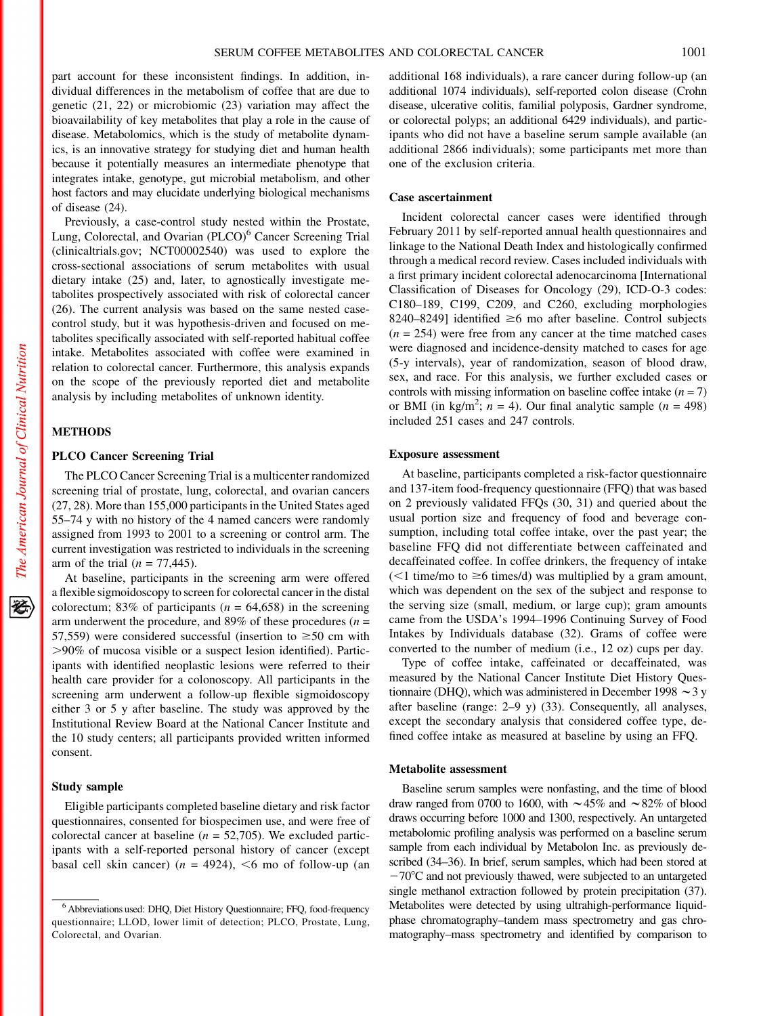part account for these inconsistent findings. In addition, individual differences in the metabolism of coffee that are due to genetic (21, 22) or microbiomic (23) variation may affect the bioavailability of key metabolites that play a role in the cause of disease. Metabolomics, which is the study of metabolite dynamics, is an innovative strategy for studying diet and human health because it potentially measures an intermediate phenotype that integrates intake, genotype, gut microbial metabolism, and other host factors and may elucidate underlying biological mechanisms of disease (24).

Previously, a case-control study nested within the Prostate, Lung, Colorectal, and Ovarian (PLCO)<sup>6</sup> Cancer Screening Trial (clinicaltrials.gov; NCT00002540) was used to explore the cross-sectional associations of serum metabolites with usual dietary intake (25) and, later, to agnostically investigate metabolites prospectively associated with risk of colorectal cancer (26). The current analysis was based on the same nested casecontrol study, but it was hypothesis-driven and focused on metabolites specifically associated with self-reported habitual coffee intake. Metabolites associated with coffee were examined in relation to colorectal cancer. Furthermore, this analysis expands on the scope of the previously reported diet and metabolite analysis by including metabolites of unknown identity.

## **METHODS**

#### PLCO Cancer Screening Trial

The PLCO Cancer Screening Trial is a multicenter randomized screening trial of prostate, lung, colorectal, and ovarian cancers (27, 28). More than 155,000 participants in the United States aged 55–74 y with no history of the 4 named cancers were randomly assigned from 1993 to 2001 to a screening or control arm. The current investigation was restricted to individuals in the screening arm of the trial  $(n = 77,445)$ .

At baseline, participants in the screening arm were offered a flexible sigmoidoscopy to screen for colorectal cancer in the distal colorectum; 83% of participants ( $n = 64,658$ ) in the screening arm underwent the procedure, and 89% of these procedures ( $n =$ 57,559) were considered successful (insertion to  $\geq$ 50 cm with .90% of mucosa visible or a suspect lesion identified). Participants with identified neoplastic lesions were referred to their health care provider for a colonoscopy. All participants in the screening arm underwent a follow-up flexible sigmoidoscopy either 3 or 5 y after baseline. The study was approved by the Institutional Review Board at the National Cancer Institute and the 10 study centers; all participants provided written informed consent.

#### Study sample

Eligible participants completed baseline dietary and risk factor questionnaires, consented for biospecimen use, and were free of colorectal cancer at baseline ( $n = 52,705$ ). We excluded participants with a self-reported personal history of cancer (except basal cell skin cancer) ( $n = 4924$ ), <6 mo of follow-up (an

additional 168 individuals), a rare cancer during follow-up (an additional 1074 individuals), self-reported colon disease (Crohn disease, ulcerative colitis, familial polyposis, Gardner syndrome, or colorectal polyps; an additional 6429 individuals), and participants who did not have a baseline serum sample available (an additional 2866 individuals); some participants met more than one of the exclusion criteria.

## Case ascertainment

Incident colorectal cancer cases were identified through February 2011 by self-reported annual health questionnaires and linkage to the National Death Index and histologically confirmed through a medical record review. Cases included individuals with a first primary incident colorectal adenocarcinoma [International Classification of Diseases for Oncology (29), ICD-O-3 codes: C180–189, C199, C209, and C260, excluding morphologies 8240–8249] identified  $\geq 6$  mo after baseline. Control subjects  $(n = 254)$  were free from any cancer at the time matched cases were diagnosed and incidence-density matched to cases for age (5-y intervals), year of randomization, season of blood draw, sex, and race. For this analysis, we further excluded cases or controls with missing information on baseline coffee intake  $(n = 7)$ or BMI (in kg/m<sup>2</sup>;  $n = 4$ ). Our final analytic sample ( $n = 498$ ) included 251 cases and 247 controls.

## Exposure assessment

At baseline, participants completed a risk-factor questionnaire and 137-item food-frequency questionnaire (FFQ) that was based on 2 previously validated FFQs (30, 31) and queried about the usual portion size and frequency of food and beverage consumption, including total coffee intake, over the past year; the baseline FFQ did not differentiate between caffeinated and decaffeinated coffee. In coffee drinkers, the frequency of intake  $(<1$  time/mo to  $\geq 6$  times/d) was multiplied by a gram amount, which was dependent on the sex of the subject and response to the serving size (small, medium, or large cup); gram amounts came from the USDA's 1994–1996 Continuing Survey of Food Intakes by Individuals database (32). Grams of coffee were converted to the number of medium (i.e., 12 oz) cups per day.

Type of coffee intake, caffeinated or decaffeinated, was measured by the National Cancer Institute Diet History Questionnaire (DHQ), which was administered in December 1998  $\sim$  3 y after baseline (range: 2–9 y) (33). Consequently, all analyses, except the secondary analysis that considered coffee type, defined coffee intake as measured at baseline by using an FFQ.

#### Metabolite assessment

Baseline serum samples were nonfasting, and the time of blood draw ranged from 0700 to 1600, with  $\sim$  45% and  $\sim$  82% of blood draws occurring before 1000 and 1300, respectively. An untargeted metabolomic profiling analysis was performed on a baseline serum sample from each individual by Metabolon Inc. as previously described (34–36). In brief, serum samples, which had been stored at  $-70^{\circ}$ C and not previously thawed, were subjected to an untargeted single methanol extraction followed by protein precipitation (37). Metabolites were detected by using ultrahigh-performance liquidphase chromatography–tandem mass spectrometry and gas chromatography–mass spectrometry and identified by comparison to

<sup>&</sup>lt;sup>6</sup> Abbreviations used: DHQ, Diet History Questionnaire; FFQ, food-frequency questionnaire; LLOD, lower limit of detection; PLCO, Prostate, Lung, Colorectal, and Ovarian.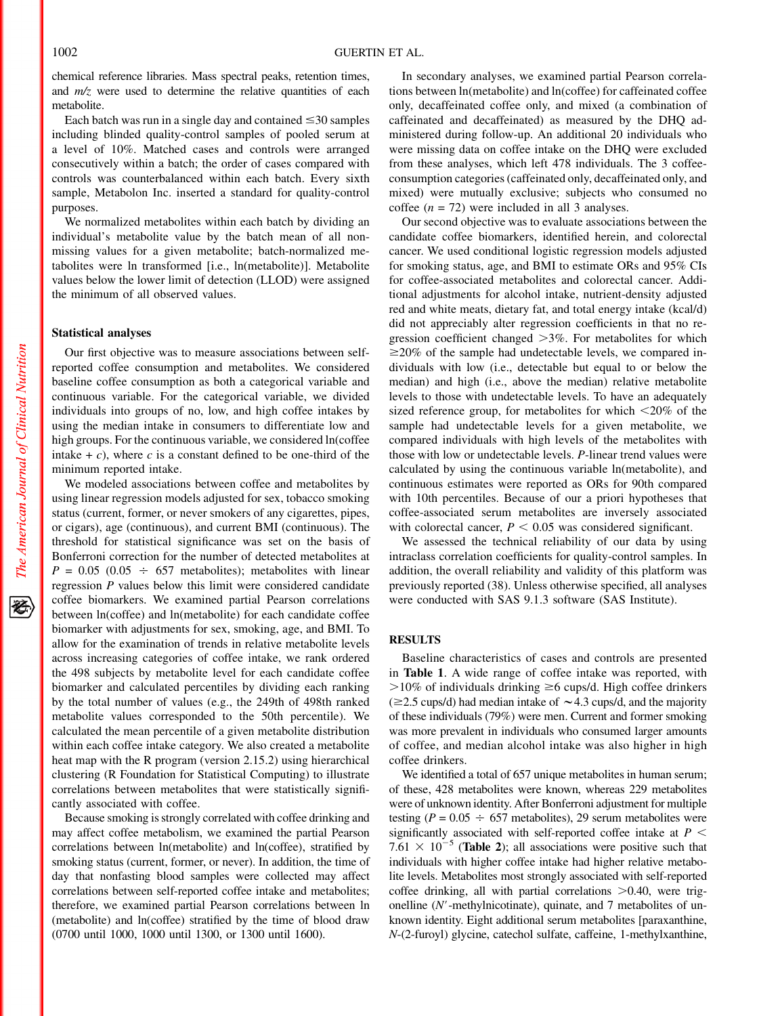chemical reference libraries. Mass spectral peaks, retention times, and  $m/z$  were used to determine the relative quantities of each metabolite.

Each batch was run in a single day and contained  $\leq 30$  samples including blinded quality-control samples of pooled serum at a level of 10%. Matched cases and controls were arranged consecutively within a batch; the order of cases compared with controls was counterbalanced within each batch. Every sixth sample, Metabolon Inc. inserted a standard for quality-control purposes.

We normalized metabolites within each batch by dividing an individual's metabolite value by the batch mean of all nonmissing values for a given metabolite; batch-normalized metabolites were ln transformed [i.e., ln(metabolite)]. Metabolite values below the lower limit of detection (LLOD) were assigned the minimum of all observed values.

## Statistical analyses

Our first objective was to measure associations between selfreported coffee consumption and metabolites. We considered baseline coffee consumption as both a categorical variable and continuous variable. For the categorical variable, we divided individuals into groups of no, low, and high coffee intakes by using the median intake in consumers to differentiate low and high groups. For the continuous variable, we considered ln(coffee intake  $+ c$ ), where c is a constant defined to be one-third of the minimum reported intake.

We modeled associations between coffee and metabolites by using linear regression models adjusted for sex, tobacco smoking status (current, former, or never smokers of any cigarettes, pipes, or cigars), age (continuous), and current BMI (continuous). The threshold for statistical significance was set on the basis of Bonferroni correction for the number of detected metabolites at  $P = 0.05$  (0.05  $\div$  657 metabolites); metabolites with linear regression P values below this limit were considered candidate coffee biomarkers. We examined partial Pearson correlations between ln(coffee) and ln(metabolite) for each candidate coffee biomarker with adjustments for sex, smoking, age, and BMI. To allow for the examination of trends in relative metabolite levels across increasing categories of coffee intake, we rank ordered the 498 subjects by metabolite level for each candidate coffee biomarker and calculated percentiles by dividing each ranking by the total number of values (e.g., the 249th of 498th ranked metabolite values corresponded to the 50th percentile). We calculated the mean percentile of a given metabolite distribution within each coffee intake category. We also created a metabolite heat map with the R program (version 2.15.2) using hierarchical clustering (R Foundation for Statistical Computing) to illustrate correlations between metabolites that were statistically significantly associated with coffee.

Because smoking is strongly correlated with coffee drinking and may affect coffee metabolism, we examined the partial Pearson correlations between ln(metabolite) and ln(coffee), stratified by smoking status (current, former, or never). In addition, the time of day that nonfasting blood samples were collected may affect correlations between self-reported coffee intake and metabolites; therefore, we examined partial Pearson correlations between ln (metabolite) and ln(coffee) stratified by the time of blood draw (0700 until 1000, 1000 until 1300, or 1300 until 1600).

In secondary analyses, we examined partial Pearson correlations between ln(metabolite) and ln(coffee) for caffeinated coffee only, decaffeinated coffee only, and mixed (a combination of caffeinated and decaffeinated) as measured by the DHQ administered during follow-up. An additional 20 individuals who were missing data on coffee intake on the DHQ were excluded from these analyses, which left 478 individuals. The 3 coffeeconsumption categories (caffeinated only, decaffeinated only, and mixed) were mutually exclusive; subjects who consumed no coffee  $(n = 72)$  were included in all 3 analyses.

Our second objective was to evaluate associations between the candidate coffee biomarkers, identified herein, and colorectal cancer. We used conditional logistic regression models adjusted for smoking status, age, and BMI to estimate ORs and 95% CIs for coffee-associated metabolites and colorectal cancer. Additional adjustments for alcohol intake, nutrient-density adjusted red and white meats, dietary fat, and total energy intake (kcal/d) did not appreciably alter regression coefficients in that no regression coefficient changed  $>3\%$ . For metabolites for which  $\geq$ 20% of the sample had undetectable levels, we compared individuals with low (i.e., detectable but equal to or below the median) and high (i.e., above the median) relative metabolite levels to those with undetectable levels. To have an adequately sized reference group, for metabolites for which  $\leq$ 20% of the sample had undetectable levels for a given metabolite, we compared individuals with high levels of the metabolites with those with low or undetectable levels. P-linear trend values were calculated by using the continuous variable ln(metabolite), and continuous estimates were reported as ORs for 90th compared with 10th percentiles. Because of our a priori hypotheses that coffee-associated serum metabolites are inversely associated with colorectal cancer,  $P < 0.05$  was considered significant.

We assessed the technical reliability of our data by using intraclass correlation coefficients for quality-control samples. In addition, the overall reliability and validity of this platform was previously reported (38). Unless otherwise specified, all analyses were conducted with SAS 9.1.3 software (SAS Institute).

## **RESULTS**

Baseline characteristics of cases and controls are presented in Table 1. A wide range of coffee intake was reported, with  $>10\%$  of individuals drinking  $\geq 6$  cups/d. High coffee drinkers  $(\geq 2.5 \text{ cups/d})$  had median intake of  $\sim 4.3 \text{ cups/d}$ , and the majority of these individuals (79%) were men. Current and former smoking was more prevalent in individuals who consumed larger amounts of coffee, and median alcohol intake was also higher in high coffee drinkers.

We identified a total of 657 unique metabolites in human serum; of these, 428 metabolites were known, whereas 229 metabolites were of unknown identity. After Bonferroni adjustment for multiple testing ( $P = 0.05 \div 657$  metabolites), 29 serum metabolites were significantly associated with self-reported coffee intake at  $P <$ 7.61  $\times$  10<sup>-5</sup> (**Table 2**); all associations were positive such that individuals with higher coffee intake had higher relative metabolite levels. Metabolites most strongly associated with self-reported coffee drinking, all with partial correlations  $>0.40$ , were trigonelline  $(N'$ -methylnicotinate), quinate, and 7 metabolites of unknown identity. Eight additional serum metabolites [paraxanthine, N-(2-furoyl) glycine, catechol sulfate, caffeine, 1-methylxanthine,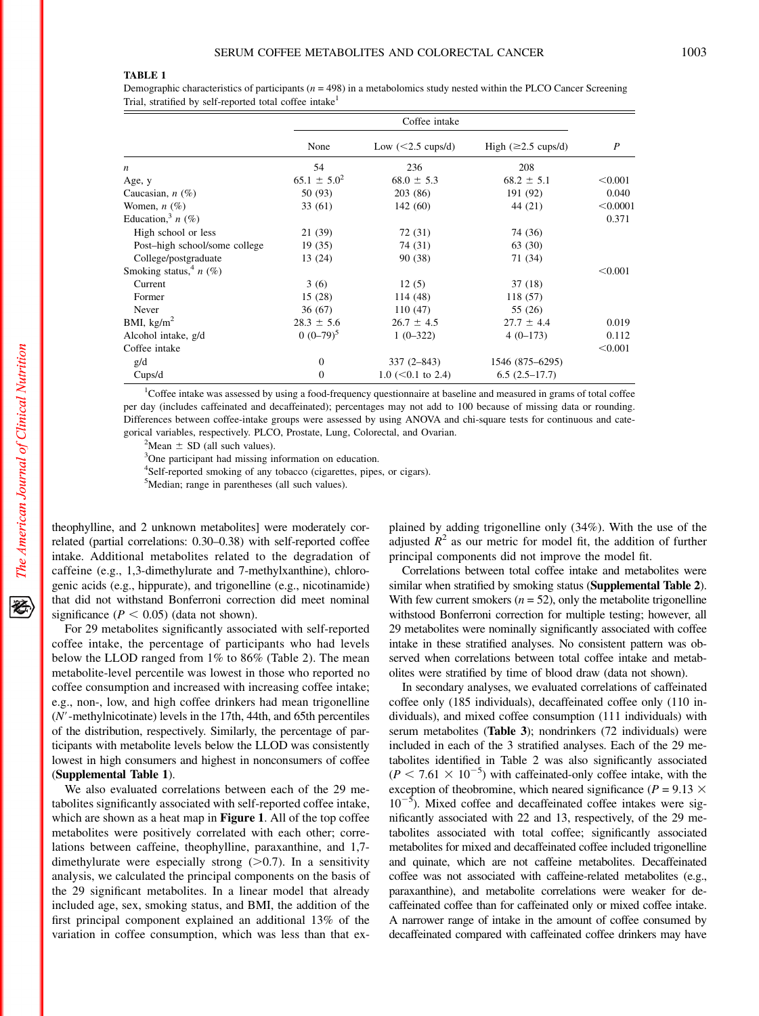### TABLE 1

Demographic characteristics of participants ( $n = 498$ ) in a metabolomics study nested within the PLCO Cancer Screening Trial, stratified by self-reported total coffee intake<sup>1</sup>

|                               | Coffee intake    |                             |                                  |                |
|-------------------------------|------------------|-----------------------------|----------------------------------|----------------|
|                               | None             | Low $(<2.5 \text{ cups/d})$ | High $(\geq 2.5 \text{ cups/d})$ | $\overline{P}$ |
| $\boldsymbol{n}$              | 54               | 236                         | 208                              |                |
| Age, y                        | $65.1 \pm 5.0^2$ | $68.0 \pm 5.3$              | $68.2 \pm 5.1$                   | < 0.001        |
| Caucasian, $n$ $(\%)$         | 50 (93)          | 203 (86)                    | 191 (92)                         | 0.040          |
| Women, $n$ $(\%)$             | 33(61)           | 142(60)                     | 44 (21)                          | < 0.0001       |
| Education, $n$ (%)            |                  |                             |                                  | 0.371          |
| High school or less           | 21 (39)          | 72 (31)                     | 74 (36)                          |                |
| Post-high school/some college | 19 (35)          | 74 (31)                     | 63 (30)                          |                |
| College/postgraduate          | 13 (24)          | 90 (38)                     | 71 (34)                          |                |
| Smoking status, $n(\%)$       |                  |                             |                                  | < 0.001        |
| Current                       | 3(6)             | 12(5)                       | 37(18)                           |                |
| Former                        | 15(28)           | 114 (48)                    | 118 (57)                         |                |
| Never                         | 36 (67)          | 110(47)                     | 55 (26)                          |                |
| BMI, $\text{kg/m}^2$          | $28.3 \pm 5.6$   | $26.7 \pm 4.5$              | $27.7 \pm 4.4$                   | 0.019          |
| Alcohol intake, g/d           | $0(0-79)^5$      | $1(0-322)$                  | $4(0-173)$                       | 0.112          |
| Coffee intake                 |                  |                             |                                  | < 0.001        |
| g/d                           | $\mathbf{0}$     | $337(2 - 843)$              | 1546 (875–6295)                  |                |
| Cups/d                        | $\Omega$         | $1.0$ (<0.1 to 2.4)         | $6.5(2.5-17.7)$                  |                |

<sup>1</sup>Coffee intake was assessed by using a food-frequency questionnaire at baseline and measured in grams of total coffee per day (includes caffeinated and decaffeinated); percentages may not add to 100 because of missing data or rounding. Differences between coffee-intake groups were assessed by using ANOVA and chi-square tests for continuous and categorical variables, respectively. PLCO, Prostate, Lung, Colorectal, and Ovarian. <sup>2</sup>

 $^{2}$ Mean  $\pm$  SD (all such values).

<sup>3</sup>One participant had missing information on education.

4 Self-reported smoking of any tobacco (cigarettes, pipes, or cigars).

<sup>5</sup>Median; range in parentheses (all such values).

theophylline, and 2 unknown metabolites] were moderately correlated (partial correlations: 0.30–0.38) with self-reported coffee intake. Additional metabolites related to the degradation of caffeine (e.g., 1,3-dimethylurate and 7-methylxanthine), chlorogenic acids (e.g., hippurate), and trigonelline (e.g., nicotinamide) that did not withstand Bonferroni correction did meet nominal significance ( $P < 0.05$ ) (data not shown).

For 29 metabolites significantly associated with self-reported coffee intake, the percentage of participants who had levels below the LLOD ranged from 1% to 86% (Table 2). The mean metabolite-level percentile was lowest in those who reported no coffee consumption and increased with increasing coffee intake; e.g., non-, low, and high coffee drinkers had mean trigonelline  $(N'$ -methylnicotinate) levels in the 17th, 44th, and 65th percentiles of the distribution, respectively. Similarly, the percentage of participants with metabolite levels below the LLOD was consistently lowest in high consumers and highest in nonconsumers of coffee (Supplemental Table 1).

We also evaluated correlations between each of the 29 metabolites significantly associated with self-reported coffee intake, which are shown as a heat map in **Figure 1**. All of the top coffee metabolites were positively correlated with each other; correlations between caffeine, theophylline, paraxanthine, and 1,7 dimethylurate were especially strong  $(>0.7)$ . In a sensitivity analysis, we calculated the principal components on the basis of the 29 significant metabolites. In a linear model that already included age, sex, smoking status, and BMI, the addition of the first principal component explained an additional 13% of the variation in coffee consumption, which was less than that explained by adding trigonelline only (34%). With the use of the adjusted  $R^2$  as our metric for model fit, the addition of further principal components did not improve the model fit.

Correlations between total coffee intake and metabolites were similar when stratified by smoking status (Supplemental Table 2). With few current smokers  $(n = 52)$ , only the metabolite trigonelline withstood Bonferroni correction for multiple testing; however, all 29 metabolites were nominally significantly associated with coffee intake in these stratified analyses. No consistent pattern was observed when correlations between total coffee intake and metabolites were stratified by time of blood draw (data not shown).

In secondary analyses, we evaluated correlations of caffeinated coffee only (185 individuals), decaffeinated coffee only (110 individuals), and mixed coffee consumption (111 individuals) with serum metabolites (Table 3); nondrinkers (72 individuals) were included in each of the 3 stratified analyses. Each of the 29 metabolites identified in Table 2 was also significantly associated  $(P < 7.61 \times 10^{-5})$  with caffeinated-only coffee intake, with the exception of theobromine, which neared significance ( $P = 9.13 \times$  $10^{-5}$ ). Mixed coffee and decaffeinated coffee intakes were significantly associated with 22 and 13, respectively, of the 29 metabolites associated with total coffee; significantly associated metabolites for mixed and decaffeinated coffee included trigonelline and quinate, which are not caffeine metabolites. Decaffeinated coffee was not associated with caffeine-related metabolites (e.g., paraxanthine), and metabolite correlations were weaker for decaffeinated coffee than for caffeinated only or mixed coffee intake. A narrower range of intake in the amount of coffee consumed by decaffeinated compared with caffeinated coffee drinkers may have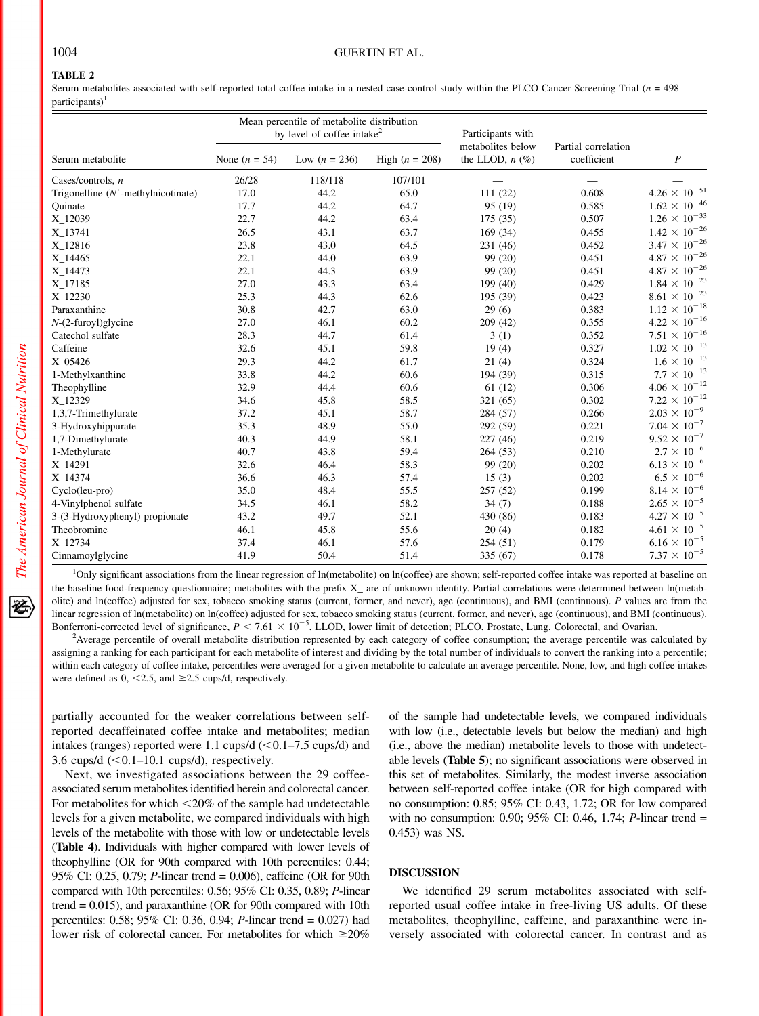## 1004 GUERTIN ET AL.

# TABLE 2

Serum metabolites associated with self-reported total coffee intake in a nested case-control study within the PLCO Cancer Screening Trial  $(n = 498)$  $participants)^1$ 

|                                       | Mean percentile of metabolite distribution<br>by level of coffee intake <sup>2</sup> |                 |                  | Participants with                         |                                    |                          |
|---------------------------------------|--------------------------------------------------------------------------------------|-----------------|------------------|-------------------------------------------|------------------------------------|--------------------------|
| Serum metabolite                      | None $(n = 54)$                                                                      | Low $(n = 236)$ | High $(n = 208)$ | metabolites below<br>the LLOD, $n$ $(\%)$ | Partial correlation<br>coefficient | $\boldsymbol{P}$         |
| Cases/controls, $n$                   | 26/28                                                                                | 118/118         | 107/101          |                                           |                                    |                          |
| Trigonelline $(N'$ -methylnicotinate) | 17.0                                                                                 | 44.2            | 65.0             | 111(22)                                   | 0.608                              | $4.26\times10^{-51}$     |
| Quinate                               | 17.7                                                                                 | 44.2            | 64.7             | 95 (19)                                   | 0.585                              | $1.62 \times 10^{-46}$   |
| X_12039                               | 22.7                                                                                 | 44.2            | 63.4             | 175(35)                                   | 0.507                              | $1.26 \times 10^{-33}$   |
| X_13741                               | 26.5                                                                                 | 43.1            | 63.7             | 169 (34)                                  | 0.455                              | $1.42 \times 10^{-26}$   |
| X_12816                               | 23.8                                                                                 | 43.0            | 64.5             | 231 (46)                                  | 0.452                              | $3.47\times10^{-26}$     |
| X_14465                               | 22.1                                                                                 | 44.0            | 63.9             | 99 (20)                                   | 0.451                              | $4.87\,\times\,10^{-26}$ |
| X 14473                               | 22.1                                                                                 | 44.3            | 63.9             | 99 (20)                                   | 0.451                              | $4.87\times10^{-26}$     |
| X_17185                               | 27.0                                                                                 | 43.3            | 63.4             | 199 (40)                                  | 0.429                              | $1.84\times10^{-23}$     |
| X 12230                               | 25.3                                                                                 | 44.3            | 62.6             | 195 (39)                                  | 0.423                              | $8.61\,\times\,10^{-23}$ |
| Paraxanthine                          | 30.8                                                                                 | 42.7            | 63.0             | 29(6)                                     | 0.383                              | $1.12 \times 10^{-18}$   |
| $N-(2$ -furoyl)glycine                | 27.0                                                                                 | 46.1            | 60.2             | 209(42)                                   | 0.355                              | $4.22 \times 10^{-16}$   |
| Catechol sulfate                      | 28.3                                                                                 | 44.7            | 61.4             | 3(1)                                      | 0.352                              | $7.51 \times 10^{-16}$   |
| Caffeine                              | 32.6                                                                                 | 45.1            | 59.8             | 19(4)                                     | 0.327                              | $1.02 \times 10^{-13}$   |
| X 05426                               | 29.3                                                                                 | 44.2            | 61.7             | 21(4)                                     | 0.324                              | $1.6\times10^{-13}$      |
| 1-Methylxanthine                      | 33.8                                                                                 | 44.2            | 60.6             | 194 (39)                                  | 0.315                              | $7.7\times10^{-13}$      |
| Theophylline                          | 32.9                                                                                 | 44.4            | 60.6             | 61(12)                                    | 0.306                              | $4.06 \times 10^{-12}$   |
| X_12329                               | 34.6                                                                                 | 45.8            | 58.5             | 321 (65)                                  | 0.302                              | $7.22 \times 10^{-12}$   |
| 1,3,7-Trimethylurate                  | 37.2                                                                                 | 45.1            | 58.7             | 284 (57)                                  | 0.266                              | $2.03 \times 10^{-9}$    |
| 3-Hydroxyhippurate                    | 35.3                                                                                 | 48.9            | 55.0             | 292 (59)                                  | 0.221                              | $7.04 \times 10^{-7}$    |
| 1,7-Dimethylurate                     | 40.3                                                                                 | 44.9            | 58.1             | 227(46)                                   | 0.219                              | $9.52 \times 10^{-7}$    |
| 1-Methylurate                         | 40.7                                                                                 | 43.8            | 59.4             | 264(53)                                   | 0.210                              | $2.7\times10^{-6}$       |
| X 14291                               | 32.6                                                                                 | 46.4            | 58.3             | 99 (20)                                   | 0.202                              | $6.13 \times 10^{-6}$    |
| X_14374                               | 36.6                                                                                 | 46.3            | 57.4             | 15(3)                                     | 0.202                              | $6.5\times10^{-6}$       |
| Cyclo(leu-pro)                        | 35.0                                                                                 | 48.4            | 55.5             | 257(52)                                   | 0.199                              | $8.14 \times 10^{-6}$    |
| 4-Vinylphenol sulfate                 | 34.5                                                                                 | 46.1            | 58.2             | 34(7)                                     | 0.188                              | $2.65 \times 10^{-5}$    |
| 3-(3-Hydroxyphenyl) propionate        | 43.2                                                                                 | 49.7            | 52.1             | 430 (86)                                  | 0.183                              | $4.27 \times 10^{-5}$    |
| Theobromine                           | 46.1                                                                                 | 45.8            | 55.6             | 20(4)                                     | 0.182                              | $4.61 \times 10^{-5}$    |
| X_12734                               | 37.4                                                                                 | 46.1            | 57.6             | 254(51)                                   | 0.179                              | $6.16 \times 10^{-5}$    |
| Cinnamoylglycine                      | 41.9                                                                                 | 50.4            | 51.4             | 335 (67)                                  | 0.178                              | $7.37 \times 10^{-5}$    |

<sup>1</sup>Only significant associations from the linear regression of ln(metabolite) on ln(coffee) are shown; self-reported coffee intake was reported at baseline on the baseline food-frequency questionnaire; metabolites with the prefix X\_ are of unknown identity. Partial correlations were determined between ln(metabolite) and ln(coffee) adjusted for sex, tobacco smoking status (current, former, and never), age (continuous), and BMI (continuous). P values are from the linear regression of ln(metabolite) on ln(coffee) adjusted for sex, tobacco smoking status (current, former, and never), age (continuous), and BMI (continuous). Bonferroni-corrected level of significance,  $P < 7.61 \times 10^{-5}$ . LLOD, lower limit of detection; PLCO, Prostate, Lung, Colorectal, and Ovarian.

<sup>2</sup>Average percentile of overall metabolite distribution represented by each category of coffee consumption; the average percentile was calculated by assigning a ranking for each participant for each metabolite of interest and dividing by the total number of individuals to convert the ranking into a percentile; within each category of coffee intake, percentiles were averaged for a given metabolite to calculate an average percentile. None, low, and high coffee intakes were defined as  $0, \le 2.5$ , and  $\ge 2.5$  cups/d, respectively.

partially accounted for the weaker correlations between selfreported decaffeinated coffee intake and metabolites; median intakes (ranges) reported were 1.1 cups/d  $(<0.1–7.5$  cups/d) and 3.6 cups/d  $(<0.1-10.1$  cups/d), respectively.

Next, we investigated associations between the 29 coffeeassociated serum metabolites identified herein and colorectal cancer. For metabolites for which  $\leq$ 20% of the sample had undetectable levels for a given metabolite, we compared individuals with high levels of the metabolite with those with low or undetectable levels (Table 4). Individuals with higher compared with lower levels of theophylline (OR for 90th compared with 10th percentiles: 0.44; 95% CI: 0.25, 0.79; P-linear trend = 0.006), caffeine (OR for 90th compared with 10th percentiles: 0.56; 95% CI: 0.35, 0.89; P-linear trend  $= 0.015$ ), and paraxanthine (OR for 90th compared with 10th percentiles: 0.58; 95% CI: 0.36, 0.94; P-linear trend = 0.027) had lower risk of colorectal cancer. For metabolites for which  $\geq 20\%$ 

of the sample had undetectable levels, we compared individuals with low (i.e., detectable levels but below the median) and high (i.e., above the median) metabolite levels to those with undetectable levels (Table 5); no significant associations were observed in this set of metabolites. Similarly, the modest inverse association between self-reported coffee intake (OR for high compared with no consumption: 0.85; 95% CI: 0.43, 1.72; OR for low compared with no consumption: 0.90; 95% CI: 0.46, 1.74; P-linear trend  $=$ 0.453) was NS.

## DISCUSSION

We identified 29 serum metabolites associated with selfreported usual coffee intake in free-living US adults. Of these metabolites, theophylline, caffeine, and paraxanthine were inversely associated with colorectal cancer. In contrast and as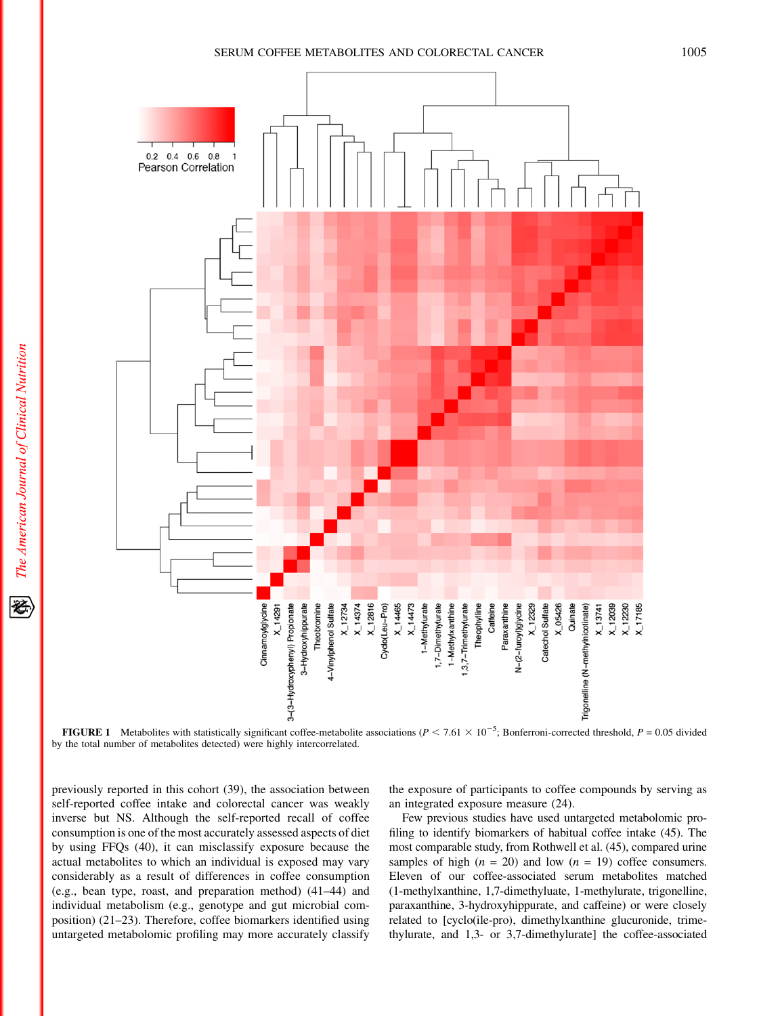## SERUM COFFEE METABOLITES AND COLORECTAL CANCER 1005



**FIGURE 1** Metabolites with statistically significant coffee-metabolite associations ( $P < 7.61 \times 10^{-5}$ ; Bonferroni-corrected threshold,  $P = 0.05$  divided by the total number of metabolites detected) were highly intercorrelated.

previously reported in this cohort (39), the association between self-reported coffee intake and colorectal cancer was weakly inverse but NS. Although the self-reported recall of coffee consumption is one of the most accurately assessed aspects of diet by using FFQs (40), it can misclassify exposure because the actual metabolites to which an individual is exposed may vary considerably as a result of differences in coffee consumption (e.g., bean type, roast, and preparation method) (41–44) and individual metabolism (e.g., genotype and gut microbial composition) (21–23). Therefore, coffee biomarkers identified using untargeted metabolomic profiling may more accurately classify

the exposure of participants to coffee compounds by serving as an integrated exposure measure (24).

Few previous studies have used untargeted metabolomic profiling to identify biomarkers of habitual coffee intake (45). The most comparable study, from Rothwell et al. (45), compared urine samples of high  $(n = 20)$  and low  $(n = 19)$  coffee consumers. Eleven of our coffee-associated serum metabolites matched (1-methylxanthine, 1,7-dimethyluate, 1-methylurate, trigonelline, paraxanthine, 3-hydroxyhippurate, and caffeine) or were closely related to [cyclo(ile-pro), dimethylxanthine glucuronide, trimethylurate, and 1,3- or 3,7-dimethylurate] the coffee-associated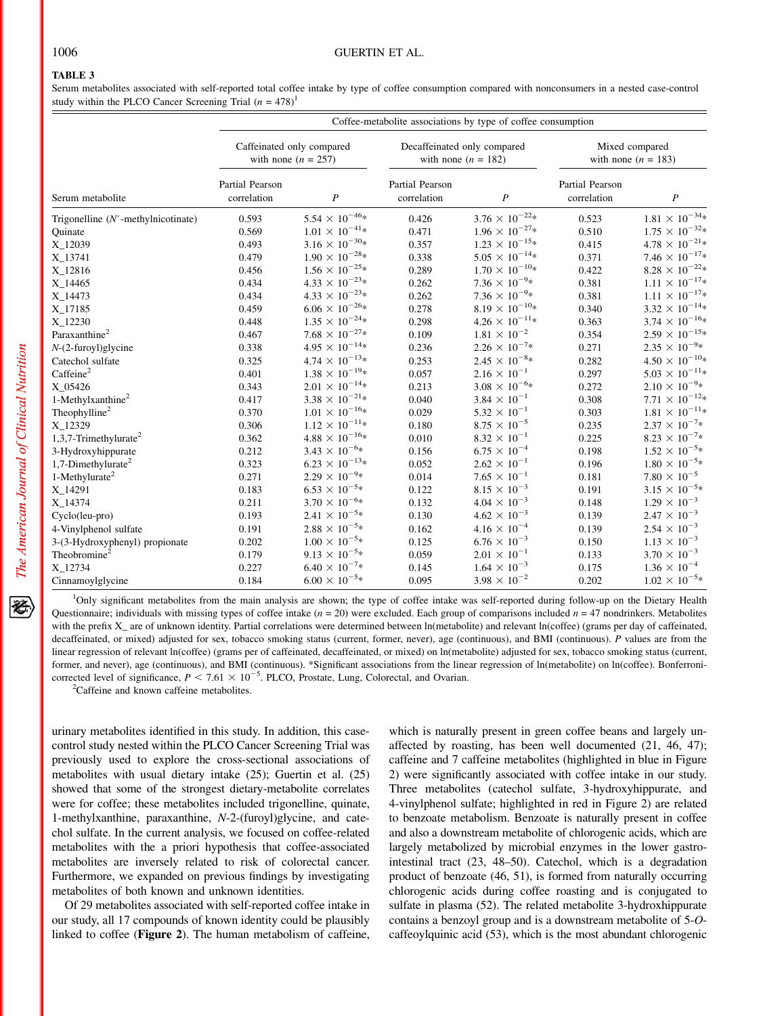## TABLE 3

Serum metabolites associated with self-reported total coffee intake by type of coffee consumption compared with nonconsumers in a nested case-control study within the PLCO Cancer Screening Trial  $(n = 478)^1$ 

|                                       | Coffee-metabolite associations by type of coffee consumption |                             |                                                      |                          |                                         |                          |
|---------------------------------------|--------------------------------------------------------------|-----------------------------|------------------------------------------------------|--------------------------|-----------------------------------------|--------------------------|
| Serum metabolite                      | Caffeinated only compared<br>with none $(n = 257)$           |                             | Decaffeinated only compared<br>with none $(n = 182)$ |                          | Mixed compared<br>with none $(n = 183)$ |                          |
|                                       | Partial Pearson<br>correlation                               | $\boldsymbol{P}$            | Partial Pearson<br>correlation                       | $\boldsymbol{P}$         | Partial Pearson<br>correlation          | $\boldsymbol{P}$         |
| Trigonelline $(N'$ -methylnicotinate) | 0.593                                                        | $5.54 \times 10^{-46} *$    | 0.426                                                | $3.76 \times 10^{-22} *$ | 0.523                                   | $1.81 \times 10^{-34} *$ |
| Quinate                               | 0.569                                                        | $1.01 \times 10^{-41*}$     | 0.471                                                | $1.96 \times 10^{-27} *$ | 0.510                                   | $1.75 \times 10^{-32*}$  |
| X_12039                               | 0.493                                                        | $3.16 \times 10^{-30*}$     | 0.357                                                | $1.23 \times 10^{-15} *$ | 0.415                                   | $4.78 \times 10^{-21} *$ |
| X_13741                               | 0.479                                                        | $1.90 \times 10^{-28} *$    | 0.338                                                | $5.05 \times 10^{-14*}$  | 0.371                                   | $7.46 \times 10^{-17*}$  |
| X_12816                               | 0.456                                                        | $1.56 \times 10^{-25} *$    | 0.289                                                | $1.70 \times 10^{-10*}$  | 0.422                                   | $8.28 \times 10^{-22} *$ |
| X_14465                               | 0.434                                                        | $4.33 \times 10^{-23} *$    | 0.262                                                | $7.36 \times 10^{-9*}$   | 0.381                                   | $1.11\times10^{-17*}$    |
| X_14473                               | 0.434                                                        | $4.33 \times 10^{-23*}$     | 0.262                                                | $7.36 \times 10^{-9*}$   | 0.381                                   | $1.11 \times 10^{-17*}$  |
| X_17185                               | 0.459                                                        | $6.06 \times 10^{-26} *$    | 0.278                                                | $8.19 \times 10^{-10*}$  | 0.340                                   | $3.32 \times 10^{-14} *$ |
| X_12230                               | 0.448                                                        | $1.35 \times 10^{-24} *$    | 0.298                                                | $4.26 \times 10^{-11*}$  | 0.363                                   | $3.74 \times 10^{-16*}$  |
| Paraxanthine <sup>2</sup>             | 0.467                                                        | $7.68 \times 10^{-27} *$    | 0.109                                                | $1.81 \times 10^{-2}$    | 0.354                                   | $2.59 \times 10^{-15} *$ |
| $N-(2$ -furoyl)glycine                | 0.338                                                        | $4.95 \times 10^{-14*}$     | 0.236                                                | $2.26 \times 10^{-7}$ *  | 0.271                                   | $2.35 \times 10^{-9*}$   |
| Catechol sulfate                      | 0.325                                                        | $4.74 \times 10^{-13} *$    | 0.253                                                | $2.45 \times 10^{-8}$ *  | 0.282                                   | $4.50 \times 10^{-10*}$  |
| Caffeine <sup>2</sup>                 | 0.401                                                        | $1.38 \times 10^{-19*}$     | 0.057                                                | $2.16 \times 10^{-1}$    | 0.297                                   | $5.03 \times 10^{-11*}$  |
| X_05426                               | 0.343                                                        | $2.01 \times 10^{-14*}$     | 0.213                                                | $3.08 \times 10^{-6*}$   | 0.272                                   | $2.10\times10^{-9} *$    |
| $1$ -Methylxanthine <sup>2</sup>      | 0.417                                                        | $3.38 \times 10^{-21} *$    | 0.040                                                | $3.84 \times 10^{-1}$    | 0.308                                   | $7.71 \times 10^{-12} *$ |
| Theophylline <sup>2</sup>             | 0.370                                                        | $1.01 \times 10^{-16*}$     | 0.029                                                | $5.32 \times 10^{-1}$    | 0.303                                   | $1.81 \times 10^{-11*}$  |
| X 12329                               | 0.306                                                        | $1.12 \times 10^{-11*}$     | 0.180                                                | $8.75 \times 10^{-5}$    | 0.235                                   | $2.37\times10^{-7}\ast$  |
| $1,3,7$ -Trimethylurate <sup>2</sup>  | 0.362                                                        | $4.88 \times 10^{-16*}$     | 0.010                                                | $8.32 \times 10^{-1}$    | 0.225                                   | $8.23\times10^{-7}\ast$  |
| 3-Hydroxyhippurate                    | 0.212                                                        | $3.43 \times 10^{-6*}$      | 0.156                                                | $6.75 \times 10^{-4}$    | 0.198                                   | $1.52 \times 10^{-5} *$  |
| 1,7-Dimethylurate <sup>2</sup>        | 0.323                                                        | $6.23 \times 10^{-13*}$     | 0.052                                                | $2.62 \times 10^{-1}$    | 0.196                                   | $1.80 \times 10^{-5*}$   |
| $1$ -Methylurate <sup>2</sup>         | 0.271                                                        | $2.29 \times 10^{-9*}$      | 0.014                                                | $7.65 \times 10^{-1}$    | 0.181                                   | $7.80\times10^{-5}$      |
| X_14291                               | 0.183                                                        | $6.53 \times 10^{-5} *$     | 0.122                                                | $8.15 \times 10^{-3}$    | 0.191                                   | $3.15 \times 10^{-5*}$   |
| X_14374                               | 0.211                                                        | $3.70 \times 10^{-6*}$      | 0.132                                                | $4.04 \times 10^{-3}$    | 0.148                                   | $1.29 \times 10^{-3}$    |
| Cyclo(leu-pro)                        | 0.193                                                        | $2.41 \times 10^{-5}$ *     | 0.130                                                | $4.62 \times 10^{-3}$    | 0.139                                   | $2.47 \times 10^{-3}$    |
| 4-Vinylphenol sulfate                 | 0.191                                                        | $2.88\,\times\,10^{-5}\ast$ | 0.162                                                | $4.16 \times 10^{-4}$    | 0.139                                   | $2.54\times10^{-3}$      |
| 3-(3-Hydroxyphenyl) propionate        | 0.202                                                        | $1.00\times10^{-5} *$       | 0.125                                                | $6.76 \times 10^{-3}$    | 0.150                                   | $1.13 \times 10^{-3}$    |
| Theobromine <sup>2</sup>              | 0.179                                                        | $9.13 \times 10^{-5*}$      | 0.059                                                | $2.01 \times 10^{-1}$    | 0.133                                   | $3.70 \times 10^{-3}$    |
| X 12734                               | 0.227                                                        | $6.40 \times 10^{-7*}$      | 0.145                                                | $1.64 \times 10^{-3}$    | 0.175                                   | $1.36 \times 10^{-4}$    |
| Cinnamoylglycine                      | 0.184                                                        | $6.00\times10^{-5} *$       | 0.095                                                | $3.98 \times 10^{-2}$    | 0.202                                   | $1.02 \times 10^{-5*}$   |

<sup>1</sup>Only significant metabolites from the main analysis are shown; the type of coffee intake was self-reported during follow-up on the Dietary Health Questionnaire; individuals with missing types of coffee intake  $(n = 20)$  were excluded. Each group of comparisons included  $n = 47$  nondrinkers. Metabolites with the prefix X<sub>\_</sub> are of unknown identity. Partial correlations were determined between ln(metabolite) and relevant ln(coffee) (grams per day of caffeinated, decaffeinated, or mixed) adjusted for sex, tobacco smoking status (current, former, never), age (continuous), and BMI (continuous). P values are from the linear regression of relevant ln(coffee) (grams per of caffeinated, decaffeinated, or mixed) on ln(metabolite) adjusted for sex, tobacco smoking status (current, former, and never), age (continuous), and BMI (continuous). \*Significant associations from the linear regression of ln(metabolite) on ln(coffee). Bonferronicorrected level of significance,  $P < 7.61 \times 10^{-5}$ . PLCO, Prostate, Lung, Colorectal, and Ovarian.

<sup>2</sup>Caffeine and known caffeine metabolites.

urinary metabolites identified in this study. In addition, this casecontrol study nested within the PLCO Cancer Screening Trial was previously used to explore the cross-sectional associations of metabolites with usual dietary intake (25); Guertin et al. (25) showed that some of the strongest dietary-metabolite correlates were for coffee; these metabolites included trigonelline, quinate, 1-methylxanthine, paraxanthine, N-2-(furoyl)glycine, and catechol sulfate. In the current analysis, we focused on coffee-related metabolites with the a priori hypothesis that coffee-associated metabolites are inversely related to risk of colorectal cancer. Furthermore, we expanded on previous findings by investigating metabolites of both known and unknown identities.

Of 29 metabolites associated with self-reported coffee intake in our study, all 17 compounds of known identity could be plausibly linked to coffee (Figure 2). The human metabolism of caffeine,

which is naturally present in green coffee beans and largely unaffected by roasting, has been well documented (21, 46, 47); caffeine and 7 caffeine metabolites (highlighted in blue in Figure 2) were significantly associated with coffee intake in our study. Three metabolites (catechol sulfate, 3-hydroxyhippurate, and 4-vinylphenol sulfate; highlighted in red in Figure 2) are related to benzoate metabolism. Benzoate is naturally present in coffee and also a downstream metabolite of chlorogenic acids, which are largely metabolized by microbial enzymes in the lower gastrointestinal tract (23, 48–50). Catechol, which is a degradation product of benzoate (46, 51), is formed from naturally occurring chlorogenic acids during coffee roasting and is conjugated to sulfate in plasma (52). The related metabolite 3-hydroxhippurate contains a benzoyl group and is a downstream metabolite of 5-Ocaffeoylquinic acid (53), which is the most abundant chlorogenic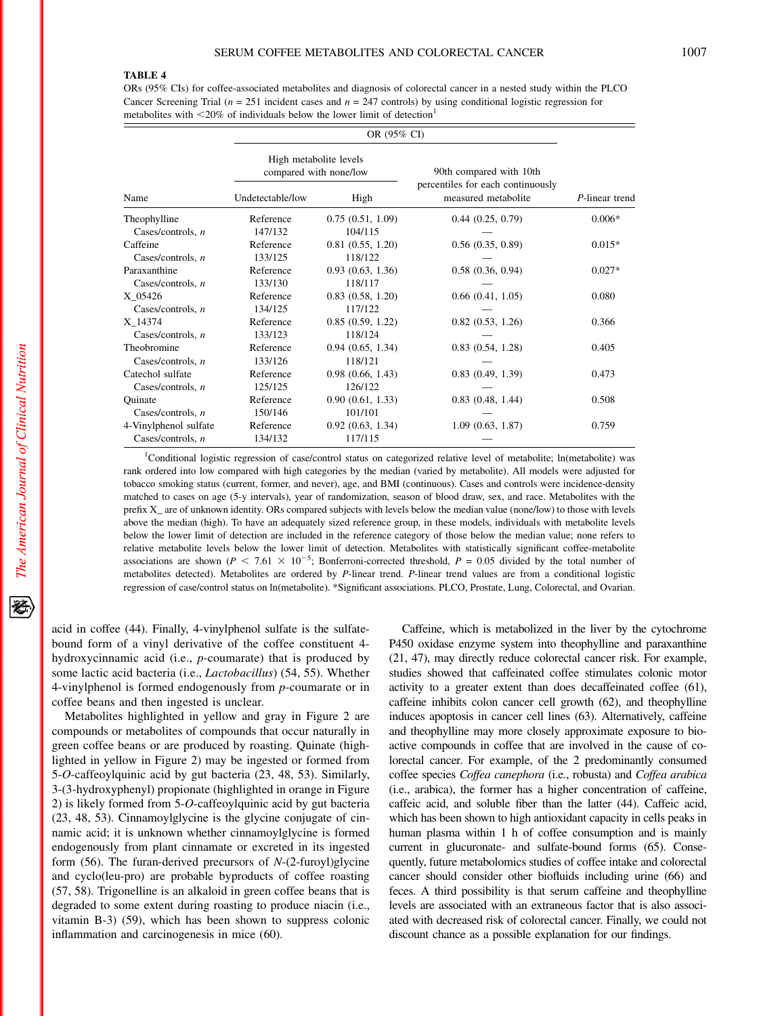#### TABLE 4

ORs (95% CIs) for coffee-associated metabolites and diagnosis of colorectal cancer in a nested study within the PLCO Cancer Screening Trial ( $n = 251$  incident cases and  $n = 247$  controls) by using conditional logistic regression for metabolites with  $\leq$ 20% of individuals below the lower limit of detection<sup>1</sup>

| Name                  |                  | High metabolite levels<br>compared with none/low | 90th compared with 10th<br>percentiles for each continuously |                |
|-----------------------|------------------|--------------------------------------------------|--------------------------------------------------------------|----------------|
|                       | Undetectable/low | High                                             | measured metabolite                                          | P-linear trend |
| Theophylline          | Reference        | 0.75(0.51, 1.09)                                 | 0.44(0.25, 0.79)                                             | $0.006*$       |
| Cases/controls, n     | 147/132          | 104/115                                          |                                                              |                |
| Caffeine              | Reference        | 0.81(0.55, 1.20)                                 | 0.56(0.35, 0.89)                                             | $0.015*$       |
| Cases/controls, $n$   | 133/125          | 118/122                                          |                                                              |                |
| Paraxanthine          | Reference        | 0.93(0.63, 1.36)                                 | 0.58(0.36, 0.94)                                             | $0.027*$       |
| Cases/controls, $n$   | 133/130          | 118/117                                          |                                                              |                |
| X_05426               | Reference        | 0.83(0.58, 1.20)                                 | 0.66(0.41, 1.05)                                             | 0.080          |
| Cases/controls, $n$   | 134/125          | 117/122                                          |                                                              |                |
| X 14374               | Reference        | 0.85(0.59, 1.22)                                 | 0.82(0.53, 1.26)                                             | 0.366          |
| Cases/controls, $n$   | 133/123          | 118/124                                          |                                                              |                |
| Theobromine           | Reference        | 0.94(0.65, 1.34)                                 | 0.83(0.54, 1.28)                                             | 0.405          |
| Cases/controls, $n$   | 133/126          | 118/121                                          |                                                              |                |
| Catechol sulfate      | Reference        | 0.98(0.66, 1.43)                                 | 0.83(0.49, 1.39)                                             | 0.473          |
| Cases/controls, $n$   | 125/125          | 126/122                                          |                                                              |                |
| Ouinate               | Reference        | 0.90(0.61, 1.33)                                 | 0.83(0.48, 1.44)                                             | 0.508          |
| Cases/controls. $n$   | 150/146          | 101/101                                          |                                                              |                |
| 4-Vinylphenol sulfate | Reference        | 0.92(0.63, 1.34)                                 | 1.09(0.63, 1.87)                                             | 0.759          |
| Cases/controls, n     | 134/132          | 117/115                                          |                                                              |                |

<sup>1</sup>Conditional logistic regression of case/control status on categorized relative level of metabolite; ln(metabolite) was rank ordered into low compared with high categories by the median (varied by metabolite). All models were adjusted for tobacco smoking status (current, former, and never), age, and BMI (continuous). Cases and controls were incidence-density matched to cases on age (5-y intervals), year of randomization, season of blood draw, sex, and race. Metabolites with the prefix X\_ are of unknown identity. ORs compared subjects with levels below the median value (none/low) to those with levels above the median (high). To have an adequately sized reference group, in these models, individuals with metabolite levels below the lower limit of detection are included in the reference category of those below the median value; none refers to relative metabolite levels below the lower limit of detection. Metabolites with statistically significant coffee-metabolite associations are shown ( $P < 7.61 \times 10^{-5}$ ; Bonferroni-corrected threshold,  $P = 0.05$  divided by the total number of metabolites detected). Metabolites are ordered by P-linear trend. P-linear trend values are from a conditional logistic regression of case/control status on ln(metabolite). \*Significant associations. PLCO, Prostate, Lung, Colorectal, and Ovarian.

acid in coffee (44). Finally, 4-vinylphenol sulfate is the sulfatebound form of a vinyl derivative of the coffee constituent 4 hydroxycinnamic acid (i.e., p-coumarate) that is produced by some lactic acid bacteria (i.e., Lactobacillus) (54, 55). Whether 4-vinylphenol is formed endogenously from p-coumarate or in coffee beans and then ingested is unclear.

Metabolites highlighted in yellow and gray in Figure 2 are compounds or metabolites of compounds that occur naturally in green coffee beans or are produced by roasting. Quinate (highlighted in yellow in Figure 2) may be ingested or formed from 5-O-caffeoylquinic acid by gut bacteria (23, 48, 53). Similarly, 3-(3-hydroxyphenyl) propionate (highlighted in orange in Figure 2) is likely formed from 5-O-caffeoylquinic acid by gut bacteria (23, 48, 53). Cinnamoylglycine is the glycine conjugate of cinnamic acid; it is unknown whether cinnamoylglycine is formed endogenously from plant cinnamate or excreted in its ingested form  $(56)$ . The furan-derived precursors of  $N-(2$ -furoyl)glycine and cyclo(leu-pro) are probable byproducts of coffee roasting (57, 58). Trigonelline is an alkaloid in green coffee beans that is degraded to some extent during roasting to produce niacin (i.e., vitamin B-3) (59), which has been shown to suppress colonic inflammation and carcinogenesis in mice (60).

Caffeine, which is metabolized in the liver by the cytochrome P450 oxidase enzyme system into theophylline and paraxanthine (21, 47), may directly reduce colorectal cancer risk. For example, studies showed that caffeinated coffee stimulates colonic motor activity to a greater extent than does decaffeinated coffee (61), caffeine inhibits colon cancer cell growth (62), and theophylline induces apoptosis in cancer cell lines (63). Alternatively, caffeine and theophylline may more closely approximate exposure to bioactive compounds in coffee that are involved in the cause of colorectal cancer. For example, of the 2 predominantly consumed coffee species Coffea canephora (i.e., robusta) and Coffea arabica (i.e., arabica), the former has a higher concentration of caffeine, caffeic acid, and soluble fiber than the latter (44). Caffeic acid, which has been shown to high antioxidant capacity in cells peaks in human plasma within 1 h of coffee consumption and is mainly current in glucuronate- and sulfate-bound forms (65). Consequently, future metabolomics studies of coffee intake and colorectal cancer should consider other biofluids including urine (66) and feces. A third possibility is that serum caffeine and theophylline levels are associated with an extraneous factor that is also associated with decreased risk of colorectal cancer. Finally, we could not discount chance as a possible explanation for our findings.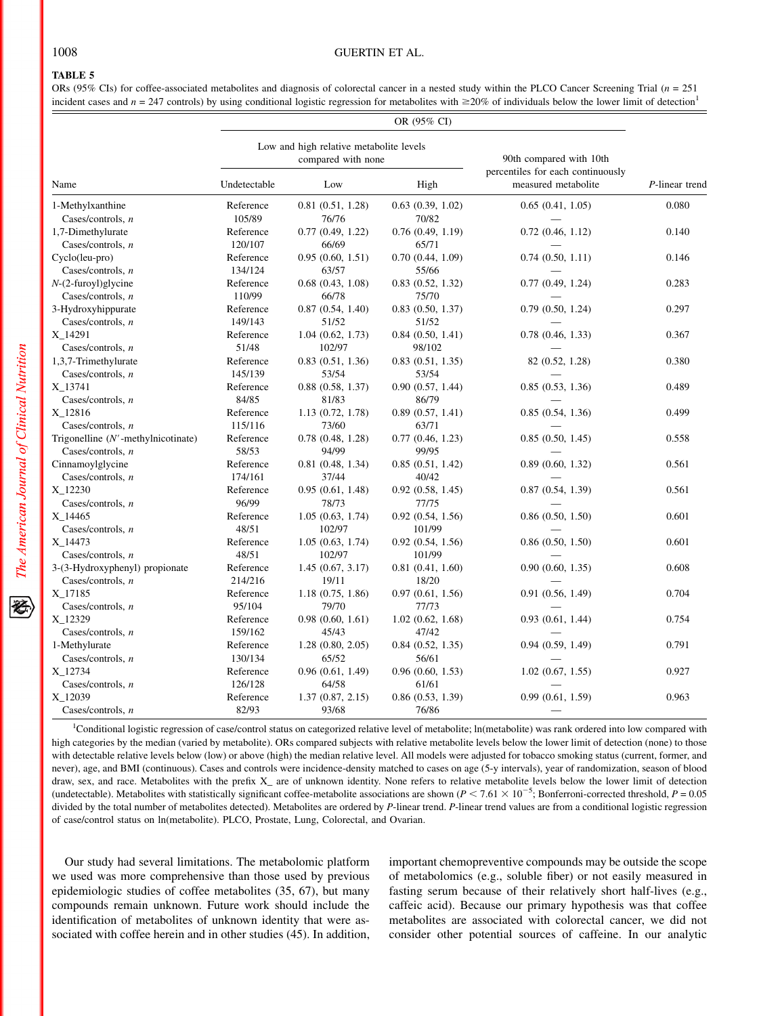## 1008 GUERTIN ET AL.

## TABLE 5

ORs (95% CIs) for coffee-associated metabolites and diagnosis of colorectal cancer in a nested study within the PLCO Cancer Screening Trial (n = 251 incident cases and  $n = 247$  controls) by using conditional logistic regression for metabolites with  $\geq 20\%$  of individuals below the lower limit of detection<sup>1</sup>

|                                       | OR (95% CI)                                                   |                       |                       |                                                          |                |  |
|---------------------------------------|---------------------------------------------------------------|-----------------------|-----------------------|----------------------------------------------------------|----------------|--|
| Name                                  | Low and high relative metabolite levels<br>compared with none |                       |                       | 90th compared with 10th                                  |                |  |
|                                       | Undetectable                                                  | Low                   | High                  | percentiles for each continuously<br>measured metabolite | P-linear trend |  |
| 1-Methylxanthine                      | Reference                                                     | 0.81(0.51, 1.28)      | 0.63(0.39, 1.02)      | 0.65(0.41, 1.05)                                         | 0.080          |  |
| Cases/controls, $n$                   | 105/89                                                        | 76/76                 | 70/82                 |                                                          |                |  |
| 1,7-Dimethylurate                     | Reference                                                     | 0.77(0.49, 1.22)      | 0.76(0.49, 1.19)      | 0.72(0.46, 1.12)                                         | 0.140          |  |
| Cases/controls, $n$                   | 120/107                                                       | 66/69                 | 65/71                 |                                                          |                |  |
| Cyclo(leu-pro)                        | Reference                                                     | 0.95(0.60, 1.51)      | 0.70(0.44, 1.09)      | 0.74(0.50, 1.11)                                         | 0.146          |  |
| Cases/controls, $n$                   | 134/124                                                       | 63/57                 | 55/66                 |                                                          |                |  |
| $N-(2$ -furoyl)glycine                | Reference                                                     | $0.68$ $(0.43, 1.08)$ | $0.83$ $(0.52, 1.32)$ | 0.77(0.49, 1.24)                                         | 0.283          |  |
| Cases/controls, $n$                   | 110/99                                                        | 66/78                 | 75/70                 |                                                          |                |  |
| 3-Hydroxyhippurate                    | Reference                                                     | 0.87(0.54, 1.40)      | $0.83$ $(0.50, 1.37)$ | 0.79(0.50, 1.24)                                         | 0.297          |  |
| Cases/controls, $n$                   | 149/143                                                       | 51/52                 | 51/52                 |                                                          |                |  |
| X <sub>14291</sub>                    | Reference                                                     | 1.04(0.62, 1.73)      | 0.84(0.50, 1.41)      | 0.78(0.46, 1.33)                                         | 0.367          |  |
| Cases/controls, $n$                   | 51/48                                                         | 102/97                | 98/102                |                                                          |                |  |
| 1,3,7-Trimethylurate                  | Reference                                                     | 0.83(0.51, 1.36)      | 0.83(0.51, 1.35)      | 82 (0.52, 1.28)                                          | 0.380          |  |
| Cases/controls, $n$                   | 145/139                                                       | 53/54                 | 53/54                 |                                                          |                |  |
| X 13741                               | Reference                                                     | 0.88(0.58, 1.37)      | 0.90(0.57, 1.44)      | 0.85(0.53, 1.36)                                         | 0.489          |  |
|                                       |                                                               |                       |                       |                                                          |                |  |
| Cases/controls, $n$                   | 84/85                                                         | 81/83                 | 86/79                 |                                                          |                |  |
| X 12816                               | Reference                                                     | 1.13(0.72, 1.78)      | 0.89(0.57, 1.41)      | 0.85(0.54, 1.36)                                         | 0.499          |  |
| Cases/controls, $n$                   | 115/116                                                       | 73/60                 | 63/71                 |                                                          |                |  |
| Trigonelline $(N'$ -methylnicotinate) | Reference                                                     | $0.78$ $(0.48, 1.28)$ | 0.77(0.46, 1.23)      | 0.85(0.50, 1.45)                                         | 0.558          |  |
| Cases/controls, $n$                   | 58/53                                                         | 94/99                 | 99/95                 |                                                          |                |  |
| Cinnamoylglycine                      | Reference                                                     | 0.81(0.48, 1.34)      | 0.85(0.51, 1.42)      | 0.89(0.60, 1.32)                                         | 0.561          |  |
| Cases/controls, $n$                   | 174/161                                                       | 37/44                 | 40/42                 |                                                          |                |  |
| X 12230                               | Reference                                                     | 0.95(0.61, 1.48)      | 0.92(0.58, 1.45)      | 0.87(0.54, 1.39)                                         | 0.561          |  |
| Cases/controls, $n$                   | 96/99                                                         | 78/73                 | 77/75                 |                                                          |                |  |
| X 14465                               | Reference                                                     | 1.05(0.63, 1.74)      | 0.92(0.54, 1.56)      | 0.86(0.50, 1.50)                                         | 0.601          |  |
| Cases/controls, $n$                   | 48/51                                                         | 102/97                | 101/99                |                                                          |                |  |
| X 14473                               | Reference                                                     | 1.05(0.63, 1.74)      | $0.92$ $(0.54, 1.56)$ | 0.86(0.50, 1.50)                                         | 0.601          |  |
| Cases/controls, $n$                   | 48/51                                                         | 102/97                | 101/99                |                                                          |                |  |
| 3-(3-Hydroxyphenyl) propionate        | Reference                                                     | 1.45(0.67, 3.17)      | 0.81(0.41, 1.60)      | 0.90(0.60, 1.35)                                         | 0.608          |  |
| Cases/controls, $n$                   | 214/216                                                       | 19/11                 | 18/20                 |                                                          |                |  |
| X_17185                               | Reference                                                     | 1.18(0.75, 1.86)      | 0.97(0.61, 1.56)      | 0.91(0.56, 1.49)                                         | 0.704          |  |
| Cases/controls, $n$                   | 95/104                                                        | 79/70                 | 77/73                 |                                                          |                |  |
| X_12329                               | Reference                                                     | 0.98(0.60, 1.61)      | $1.02$ $(0.62, 1.68)$ | 0.93(0.61, 1.44)                                         | 0.754          |  |
| Cases/controls, $n$                   | 159/162                                                       | 45/43                 | 47/42                 |                                                          |                |  |
| 1-Methylurate                         | Reference                                                     | 1.28(0.80, 2.05)      | 0.84(0.52, 1.35)      | 0.94(0.59, 1.49)                                         | 0.791          |  |
| Cases/controls, $n$                   | 130/134                                                       | 65/52                 | 56/61                 |                                                          |                |  |
| X 12734                               | Reference                                                     | 0.96(0.61, 1.49)      | 0.96(0.60, 1.53)      | 1.02(0.67, 1.55)                                         | 0.927          |  |
| Cases/controls, $n$                   | 126/128                                                       | 64/58                 | 61/61                 |                                                          |                |  |
| X_12039                               | Reference                                                     | 1.37(0.87, 2.15)      | 0.86(0.53, 1.39)      | 0.99(0.61, 1.59)                                         | 0.963          |  |
| Cases/controls, $n$                   | 82/93                                                         | 93/68                 | 76/86                 |                                                          |                |  |
|                                       |                                                               |                       |                       |                                                          |                |  |

<sup>1</sup>Conditional logistic regression of case/control status on categorized relative level of metabolite; ln(metabolite) was rank ordered into low compared with high categories by the median (varied by metabolite). ORs compared subjects with relative metabolite levels below the lower limit of detection (none) to those with detectable relative levels below (low) or above (high) the median relative level. All models were adjusted for tobacco smoking status (current, former, and never), age, and BMI (continuous). Cases and controls were incidence-density matched to cases on age (5-y intervals), year of randomization, season of blood draw, sex, and race. Metabolites with the prefix X\_ are of unknown identity. None refers to relative metabolite levels below the lower limit of detection (undetectable). Metabolites with statistically significant coffee-metabolite associations are shown  $(P < 7.61 \times 10^{-5}$ ; Bonferroni-corrected threshold,  $P = 0.05$ divided by the total number of metabolites detected). Metabolites are ordered by P-linear trend. P-linear trend values are from a conditional logistic regression of case/control status on ln(metabolite). PLCO, Prostate, Lung, Colorectal, and Ovarian.

Our study had several limitations. The metabolomic platform we used was more comprehensive than those used by previous epidemiologic studies of coffee metabolites (35, 67), but many compounds remain unknown. Future work should include the identification of metabolites of unknown identity that were associated with coffee herein and in other studies (45). In addition,

important chemopreventive compounds may be outside the scope of metabolomics (e.g., soluble fiber) or not easily measured in fasting serum because of their relatively short half-lives (e.g., caffeic acid). Because our primary hypothesis was that coffee metabolites are associated with colorectal cancer, we did not consider other potential sources of caffeine. In our analytic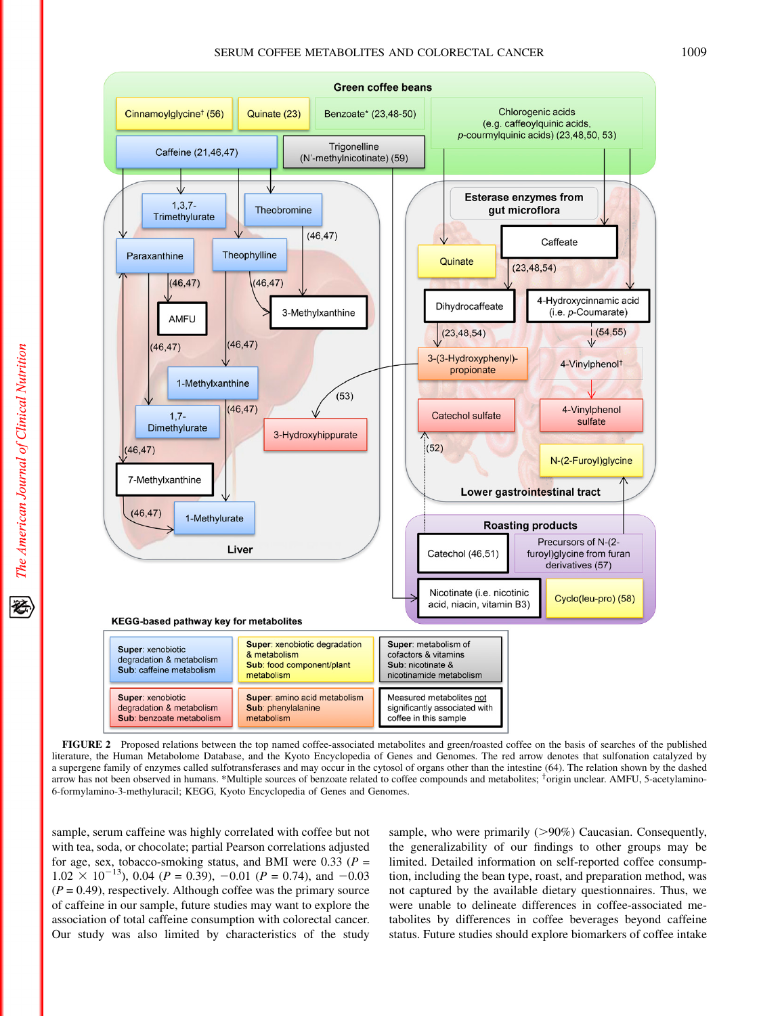

FIGURE 2 Proposed relations between the top named coffee-associated metabolites and green/roasted coffee on the basis of searches of the published literature, the Human Metabolome Database, and the Kyoto Encyclopedia of Genes and Genomes. The red arrow denotes that sulfonation catalyzed by a supergene family of enzymes called sulfotransferases and may occur in the cytosol of organs other than the intestine (64). The relation shown by the dashed arrow has not been observed in humans. \*Multiple sources of benzoate related to coffee compounds and metabolites; <sup>†</sup>origin unclear. AMFU, 5-acetylamino-6-formylamino-3-methyluracil; KEGG, Kyoto Encyclopedia of Genes and Genomes.

sample, serum caffeine was highly correlated with coffee but not with tea, soda, or chocolate; partial Pearson correlations adjusted for age, sex, tobacco-smoking status, and BMI were 0.33 ( $P =$  $1.02 \times 10^{-13}$ , 0.04 (P = 0.39), -0.01 (P = 0.74), and -0.03  $(P = 0.49)$ , respectively. Although coffee was the primary source of caffeine in our sample, future studies may want to explore the association of total caffeine consumption with colorectal cancer. Our study was also limited by characteristics of the study

sample, who were primarily  $(>90%)$  Caucasian. Consequently, the generalizability of our findings to other groups may be limited. Detailed information on self-reported coffee consumption, including the bean type, roast, and preparation method, was not captured by the available dietary questionnaires. Thus, we were unable to delineate differences in coffee-associated metabolites by differences in coffee beverages beyond caffeine status. Future studies should explore biomarkers of coffee intake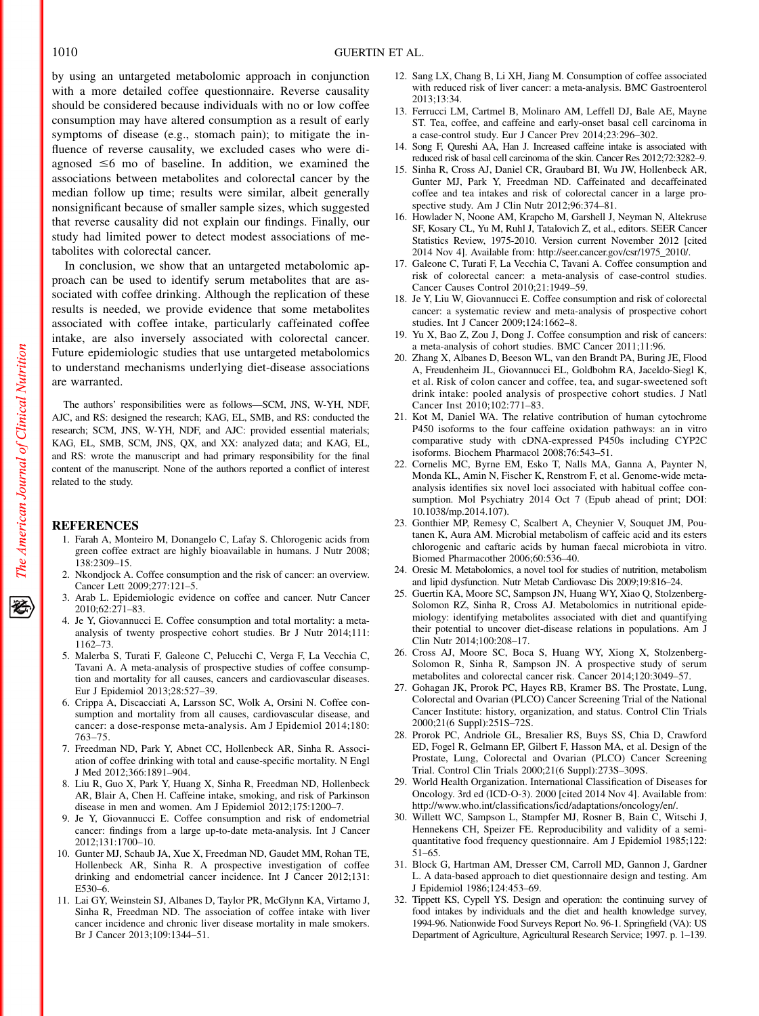by using an untargeted metabolomic approach in conjunction with a more detailed coffee questionnaire. Reverse causality should be considered because individuals with no or low coffee consumption may have altered consumption as a result of early symptoms of disease (e.g., stomach pain); to mitigate the influence of reverse causality, we excluded cases who were diagnosed  $\leq 6$  mo of baseline. In addition, we examined the associations between metabolites and colorectal cancer by the median follow up time; results were similar, albeit generally nonsignificant because of smaller sample sizes, which suggested that reverse causality did not explain our findings. Finally, our study had limited power to detect modest associations of metabolites with colorectal cancer.

In conclusion, we show that an untargeted metabolomic approach can be used to identify serum metabolites that are associated with coffee drinking. Although the replication of these results is needed, we provide evidence that some metabolites associated with coffee intake, particularly caffeinated coffee intake, are also inversely associated with colorectal cancer. Future epidemiologic studies that use untargeted metabolomics to understand mechanisms underlying diet-disease associations are warranted.

The authors' responsibilities were as follows—SCM, JNS, W-YH, NDF, AJC, and RS: designed the research; KAG, EL, SMB, and RS: conducted the research; SCM, JNS, W-YH, NDF, and AJC: provided essential materials; KAG, EL, SMB, SCM, JNS, QX, and XX: analyzed data; and KAG, EL, and RS: wrote the manuscript and had primary responsibility for the final content of the manuscript. None of the authors reported a conflict of interest related to the study.

#### **REFERENCES**

- 1. Farah A, Monteiro M, Donangelo C, Lafay S. Chlorogenic acids from green coffee extract are highly bioavailable in humans. J Nutr 2008; 138:2309–15.
- 2. Nkondjock A. Coffee consumption and the risk of cancer: an overview. Cancer Lett 2009;277:121–5.
- 3. Arab L. Epidemiologic evidence on coffee and cancer. Nutr Cancer 2010;62:271–83.
- 4. Je Y, Giovannucci E. Coffee consumption and total mortality: a metaanalysis of twenty prospective cohort studies. Br J Nutr 2014;111: 1162–73.
- 5. Malerba S, Turati F, Galeone C, Pelucchi C, Verga F, La Vecchia C, Tavani A. A meta-analysis of prospective studies of coffee consumption and mortality for all causes, cancers and cardiovascular diseases. Eur J Epidemiol 2013;28:527–39.
- 6. Crippa A, Discacciati A, Larsson SC, Wolk A, Orsini N. Coffee consumption and mortality from all causes, cardiovascular disease, and cancer: a dose-response meta-analysis. Am J Epidemiol 2014;180: 763–75.
- 7. Freedman ND, Park Y, Abnet CC, Hollenbeck AR, Sinha R. Association of coffee drinking with total and cause-specific mortality. N Engl J Med 2012;366:1891–904.
- 8. Liu R, Guo X, Park Y, Huang X, Sinha R, Freedman ND, Hollenbeck AR, Blair A, Chen H. Caffeine intake, smoking, and risk of Parkinson disease in men and women. Am J Epidemiol 2012;175:1200–7.
- 9. Je Y, Giovannucci E. Coffee consumption and risk of endometrial cancer: findings from a large up-to-date meta-analysis. Int J Cancer 2012;131:1700–10.
- 10. Gunter MJ, Schaub JA, Xue X, Freedman ND, Gaudet MM, Rohan TE, Hollenbeck AR, Sinha R. A prospective investigation of coffee drinking and endometrial cancer incidence. Int J Cancer 2012;131: E530–6.
- 11. Lai GY, Weinstein SJ, Albanes D, Taylor PR, McGlynn KA, Virtamo J, Sinha R, Freedman ND. The association of coffee intake with liver cancer incidence and chronic liver disease mortality in male smokers. Br J Cancer 2013;109:1344–51.
- 12. Sang LX, Chang B, Li XH, Jiang M. Consumption of coffee associated with reduced risk of liver cancer: a meta-analysis. BMC Gastroenterol 2013;13:34.
- 13. Ferrucci LM, Cartmel B, Molinaro AM, Leffell DJ, Bale AE, Mayne ST. Tea, coffee, and caffeine and early-onset basal cell carcinoma in a case-control study. Eur J Cancer Prev 2014;23:296–302.
- 14. Song F, Qureshi AA, Han J. Increased caffeine intake is associated with reduced risk of basal cell carcinoma of the skin. Cancer Res 2012;72:3282–9.
- 15. Sinha R, Cross AJ, Daniel CR, Graubard BI, Wu JW, Hollenbeck AR, Gunter MJ, Park Y, Freedman ND. Caffeinated and decaffeinated coffee and tea intakes and risk of colorectal cancer in a large prospective study. Am J Clin Nutr 2012;96:374–81.
- 16. Howlader N, Noone AM, Krapcho M, Garshell J, Neyman N, Altekruse SF, Kosary CL, Yu M, Ruhl J, Tatalovich Z, et al., editors. SEER Cancer Statistics Review, 1975-2010. Version current November 2012 [cited 2014 Nov 4]. Available from: http://seer.cancer.gov/csr/1975\_2010/.
- 17. Galeone C, Turati F, La Vecchia C, Tavani A. Coffee consumption and risk of colorectal cancer: a meta-analysis of case-control studies. Cancer Causes Control 2010;21:1949–59.
- 18. Je Y, Liu W, Giovannucci E. Coffee consumption and risk of colorectal cancer: a systematic review and meta-analysis of prospective cohort studies. Int J Cancer 2009;124:1662–8.
- 19. Yu X, Bao Z, Zou J, Dong J. Coffee consumption and risk of cancers: a meta-analysis of cohort studies. BMC Cancer 2011;11:96.
- 20. Zhang X, Albanes D, Beeson WL, van den Brandt PA, Buring JE, Flood A, Freudenheim JL, Giovannucci EL, Goldbohm RA, Jaceldo-Siegl K, et al. Risk of colon cancer and coffee, tea, and sugar-sweetened soft drink intake: pooled analysis of prospective cohort studies. J Natl Cancer Inst 2010;102:771–83.
- 21. Kot M, Daniel WA. The relative contribution of human cytochrome P450 isoforms to the four caffeine oxidation pathways: an in vitro comparative study with cDNA-expressed P450s including CYP2C isoforms. Biochem Pharmacol 2008;76:543–51.
- 22. Cornelis MC, Byrne EM, Esko T, Nalls MA, Ganna A, Paynter N, Monda KL, Amin N, Fischer K, Renstrom F, et al. Genome-wide metaanalysis identifies six novel loci associated with habitual coffee consumption. Mol Psychiatry 2014 Oct 7 (Epub ahead of print; DOI: 10.1038/mp.2014.107).
- 23. Gonthier MP, Remesy C, Scalbert A, Cheynier V, Souquet JM, Poutanen K, Aura AM. Microbial metabolism of caffeic acid and its esters chlorogenic and caftaric acids by human faecal microbiota in vitro. Biomed Pharmacother 2006;60:536–40.
- 24. Oresic M. Metabolomics, a novel tool for studies of nutrition, metabolism and lipid dysfunction. Nutr Metab Cardiovasc Dis 2009;19:816–24.
- 25. Guertin KA, Moore SC, Sampson JN, Huang WY, Xiao Q, Stolzenberg-Solomon RZ, Sinha R, Cross AJ. Metabolomics in nutritional epidemiology: identifying metabolites associated with diet and quantifying their potential to uncover diet-disease relations in populations. Am J Clin Nutr 2014;100:208–17.
- 26. Cross AJ, Moore SC, Boca S, Huang WY, Xiong X, Stolzenberg-Solomon R, Sinha R, Sampson JN. A prospective study of serum metabolites and colorectal cancer risk. Cancer 2014;120:3049–57.
- 27. Gohagan JK, Prorok PC, Hayes RB, Kramer BS. The Prostate, Lung, Colorectal and Ovarian (PLCO) Cancer Screening Trial of the National Cancer Institute: history, organization, and status. Control Clin Trials 2000;21(6 Suppl):251S–72S.
- 28. Prorok PC, Andriole GL, Bresalier RS, Buys SS, Chia D, Crawford ED, Fogel R, Gelmann EP, Gilbert F, Hasson MA, et al. Design of the Prostate, Lung, Colorectal and Ovarian (PLCO) Cancer Screening Trial. Control Clin Trials 2000;21(6 Suppl):273S–309S.
- 29. World Health Organization. International Classification of Diseases for Oncology. 3rd ed (ICD-O-3). 2000 [cited 2014 Nov 4]. Available from: http://www.who.int/classifications/icd/adaptations/oncology/en/.
- 30. Willett WC, Sampson L, Stampfer MJ, Rosner B, Bain C, Witschi J, Hennekens CH, Speizer FE. Reproducibility and validity of a semiquantitative food frequency questionnaire. Am J Epidemiol 1985;122: 51–65.
- 31. Block G, Hartman AM, Dresser CM, Carroll MD, Gannon J, Gardner L. A data-based approach to diet questionnaire design and testing. Am J Epidemiol 1986;124:453–69.
- 32. Tippett KS, Cypell YS. Design and operation: the continuing survey of food intakes by individuals and the diet and health knowledge survey, 1994-96. Nationwide Food Surveys Report No. 96-1. Springfield (VA): US Department of Agriculture, Agricultural Research Service; 1997. p. 1–139.